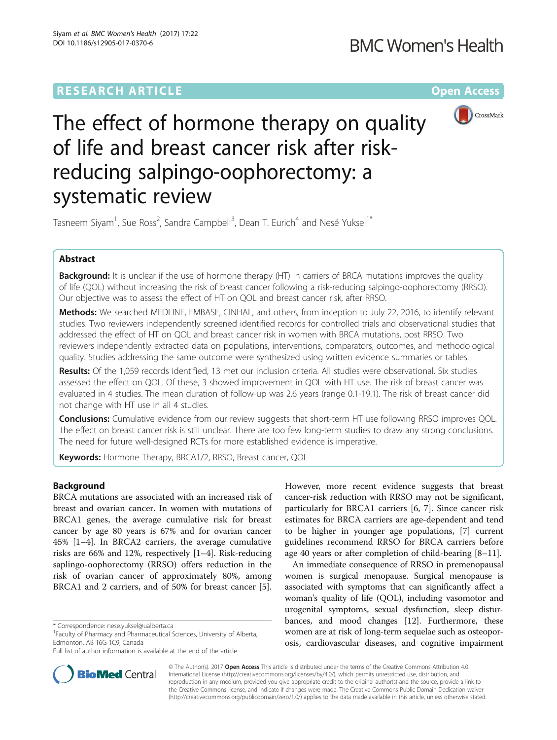## **RESEARCH ARTICLE Example 2014 12:30 The Contract of Contract ACCESS**



# The effect of hormone therapy on quality of life and breast cancer risk after riskreducing salpingo-oophorectomy: a systematic review

Tasneem Siyam<sup>1</sup>, Sue Ross<sup>2</sup>, Sandra Campbell<sup>3</sup>, Dean T. Eurich<sup>4</sup> and Nesé Yuksel<sup>1\*</sup>

### Abstract

**Background:** It is unclear if the use of hormone therapy (HT) in carriers of BRCA mutations improves the quality of life (QOL) without increasing the risk of breast cancer following a risk-reducing salpingo-oophorectomy (RRSO). Our objective was to assess the effect of HT on QOL and breast cancer risk, after RRSO.

Methods: We searched MEDLINE, EMBASE, CINHAL, and others, from inception to July 22, 2016, to identify relevant studies. Two reviewers independently screened identified records for controlled trials and observational studies that addressed the effect of HT on QOL and breast cancer risk in women with BRCA mutations, post RRSO. Two reviewers independently extracted data on populations, interventions, comparators, outcomes, and methodological quality. Studies addressing the same outcome were synthesized using written evidence summaries or tables.

Results: Of the 1,059 records identified, 13 met our inclusion criteria. All studies were observational. Six studies assessed the effect on QOL. Of these, 3 showed improvement in QOL with HT use. The risk of breast cancer was evaluated in 4 studies. The mean duration of follow-up was 2.6 years (range 0.1-19.1). The risk of breast cancer did not change with HT use in all 4 studies.

**Conclusions:** Cumulative evidence from our review suggests that short-term HT use following RRSO improves QOL. The effect on breast cancer risk is still unclear. There are too few long-term studies to draw any strong conclusions. The need for future well-designed RCTs for more established evidence is imperative.

Keywords: Hormone Therapy, BRCA1/2, RRSO, Breast cancer, QOL

### Background

BRCA mutations are associated with an increased risk of breast and ovarian cancer. In women with mutations of BRCA1 genes, the average cumulative risk for breast cancer by age 80 years is 67% and for ovarian cancer 45% [\[1](#page-10-0)–[4\]](#page-10-0). In BRCA2 carriers, the average cumulative risks are 66% and 12%, respectively [[1](#page-10-0)–[4](#page-10-0)]. Risk-reducing saplingo-oophorectomy (RRSO) offers reduction in the risk of ovarian cancer of approximately 80%, among BRCA1 and 2 carriers, and of 50% for breast cancer [\[5](#page-11-0)].

<sup>1</sup>Faculty of Pharmacy and Pharmaceutical Sciences, University of Alberta, Edmonton, AB T6G 1C9, Canada

However, more recent evidence suggests that breast cancer-risk reduction with RRSO may not be significant, particularly for BRCA1 carriers [\[6](#page-11-0), [7](#page-11-0)]. Since cancer risk estimates for BRCA carriers are age-dependent and tend to be higher in younger age populations, [[7\]](#page-11-0) current guidelines recommend RRSO for BRCA carriers before age 40 years or after completion of child-bearing [[8](#page-11-0)–[11](#page-11-0)].

An immediate consequence of RRSO in premenopausal women is surgical menopause. Surgical menopause is associated with symptoms that can significantly affect a woman's quality of life (QOL), including vasomotor and urogenital symptoms, sexual dysfunction, sleep disturbances, and mood changes [[12](#page-11-0)]. Furthermore, these women are at risk of long-term sequelae such as osteoporosis, cardiovascular diseases, and cognitive impairment



© The Author(s). 2017 **Open Access** This article is distributed under the terms of the Creative Commons Attribution 4.0 International License [\(http://creativecommons.org/licenses/by/4.0/](http://creativecommons.org/licenses/by/4.0/)), which permits unrestricted use, distribution, and reproduction in any medium, provided you give appropriate credit to the original author(s) and the source, provide a link to the Creative Commons license, and indicate if changes were made. The Creative Commons Public Domain Dedication waiver [\(http://creativecommons.org/publicdomain/zero/1.0/](http://creativecommons.org/publicdomain/zero/1.0/)) applies to the data made available in this article, unless otherwise stated.

<sup>\*</sup> Correspondence: [nese.yuksel@ualberta.ca](mailto:nese.yuksel@ualberta.ca) <sup>1</sup>

Full list of author information is available at the end of the article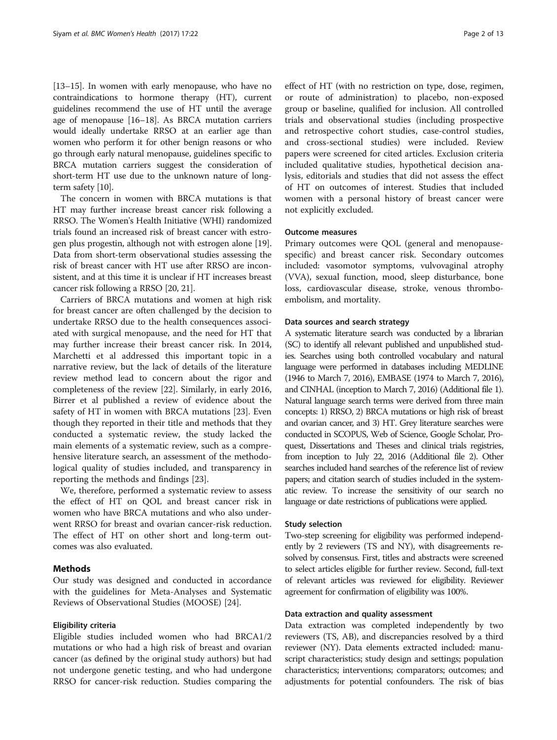[[13](#page-11-0)–[15\]](#page-11-0). In women with early menopause, who have no contraindications to hormone therapy (HT), current guidelines recommend the use of HT until the average age of menopause [[16](#page-11-0)–[18\]](#page-11-0). As BRCA mutation carriers would ideally undertake RRSO at an earlier age than women who perform it for other benign reasons or who go through early natural menopause, guidelines specific to BRCA mutation carriers suggest the consideration of short-term HT use due to the unknown nature of longterm safety [[10](#page-11-0)].

The concern in women with BRCA mutations is that HT may further increase breast cancer risk following a RRSO. The Women's Health Initiative (WHI) randomized trials found an increased risk of breast cancer with estrogen plus progestin, although not with estrogen alone [[19](#page-11-0)]. Data from short-term observational studies assessing the risk of breast cancer with HT use after RRSO are inconsistent, and at this time it is unclear if HT increases breast cancer risk following a RRSO [\[20](#page-11-0), [21](#page-11-0)].

Carriers of BRCA mutations and women at high risk for breast cancer are often challenged by the decision to undertake RRSO due to the health consequences associated with surgical menopause, and the need for HT that may further increase their breast cancer risk. In 2014, Marchetti et al addressed this important topic in a narrative review, but the lack of details of the literature review method lead to concern about the rigor and completeness of the review [\[22\]](#page-11-0). Similarly, in early 2016, Birrer et al published a review of evidence about the safety of HT in women with BRCA mutations [[23](#page-11-0)]. Even though they reported in their title and methods that they conducted a systematic review, the study lacked the main elements of a systematic review, such as a comprehensive literature search, an assessment of the methodological quality of studies included, and transparency in reporting the methods and findings [\[23\]](#page-11-0).

We, therefore, performed a systematic review to assess the effect of HT on QOL and breast cancer risk in women who have BRCA mutations and who also underwent RRSO for breast and ovarian cancer-risk reduction. The effect of HT on other short and long-term outcomes was also evaluated.

#### **Methods**

Our study was designed and conducted in accordance with the guidelines for Meta-Analyses and Systematic Reviews of Observational Studies (MOOSE) [[24\]](#page-11-0).

#### Eligibility criteria

Eligible studies included women who had BRCA1/2 mutations or who had a high risk of breast and ovarian cancer (as defined by the original study authors) but had not undergone genetic testing, and who had undergone RRSO for cancer-risk reduction. Studies comparing the

effect of HT (with no restriction on type, dose, regimen, or route of administration) to placebo, non-exposed group or baseline, qualified for inclusion. All controlled trials and observational studies (including prospective and retrospective cohort studies, case-control studies, and cross-sectional studies) were included. Review papers were screened for cited articles. Exclusion criteria included qualitative studies, hypothetical decision analysis, editorials and studies that did not assess the effect of HT on outcomes of interest. Studies that included women with a personal history of breast cancer were not explicitly excluded.

#### Outcome measures

Primary outcomes were QOL (general and menopausespecific) and breast cancer risk. Secondary outcomes included: vasomotor symptoms, vulvovaginal atrophy (VVA), sexual function, mood, sleep disturbance, bone loss, cardiovascular disease, stroke, venous thromboembolism, and mortality.

#### Data sources and search strategy

A systematic literature search was conducted by a librarian (SC) to identify all relevant published and unpublished studies. Searches using both controlled vocabulary and natural language were performed in databases including MEDLINE (1946 to March 7, 2016), EMBASE (1974 to March 7, 2016), and CINHAL (inception to March 7, 2016) (Additional file [1\)](#page-10-0). Natural language search terms were derived from three main concepts: 1) RRSO, 2) BRCA mutations or high risk of breast and ovarian cancer, and 3) HT. Grey literature searches were conducted in SCOPUS, Web of Science, Google Scholar, Proquest, Dissertations and Theses and clinical trials registries, from inception to July 22, 2016 (Additional file [2](#page-10-0)). Other searches included hand searches of the reference list of review papers; and citation search of studies included in the systematic review. To increase the sensitivity of our search no language or date restrictions of publications were applied.

#### Study selection

Two-step screening for eligibility was performed independently by 2 reviewers (TS and NY), with disagreements resolved by consensus. First, titles and abstracts were screened to select articles eligible for further review. Second, full-text of relevant articles was reviewed for eligibility. Reviewer agreement for confirmation of eligibility was 100%.

#### Data extraction and quality assessment

Data extraction was completed independently by two reviewers (TS, AB), and discrepancies resolved by a third reviewer (NY). Data elements extracted included: manuscript characteristics; study design and settings; population characteristics; interventions; comparators; outcomes; and adjustments for potential confounders. The risk of bias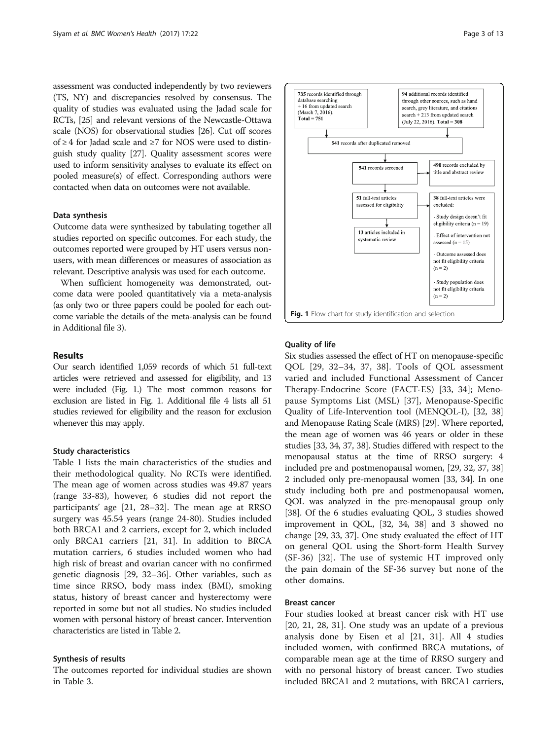assessment was conducted independently by two reviewers (TS, NY) and discrepancies resolved by consensus. The quality of studies was evaluated using the Jadad scale for RCTs, [\[25\]](#page-11-0) and relevant versions of the Newcastle-Ottawa scale (NOS) for observational studies [[26](#page-11-0)]. Cut off scores of ≥ 4 for Jadad scale and ≥7 for NOS were used to distinguish study quality [\[27](#page-11-0)]. Quality assessment scores were used to inform sensitivity analyses to evaluate its effect on pooled measure(s) of effect. Corresponding authors were contacted when data on outcomes were not available.

#### Data synthesis

Outcome data were synthesized by tabulating together all studies reported on specific outcomes. For each study, the outcomes reported were grouped by HT users versus nonusers, with mean differences or measures of association as relevant. Descriptive analysis was used for each outcome.

When sufficient homogeneity was demonstrated, outcome data were pooled quantitatively via a meta-analysis (as only two or three papers could be pooled for each outcome variable the details of the meta-analysis can be found in Additional file [3\)](#page-10-0).

#### Results

Our search identified 1,059 records of which 51 full-text articles were retrieved and assessed for eligibility, and 13 were included (Fig. 1.) The most common reasons for exclusion are listed in Fig. 1. Additional file [4](#page-10-0) lists all 51 studies reviewed for eligibility and the reason for exclusion whenever this may apply.

#### Study characteristics

Table [1](#page-3-0) lists the main characteristics of the studies and their methodological quality. No RCTs were identified. The mean age of women across studies was 49.87 years (range 33-83), however, 6 studies did not report the participants' age [[21, 28](#page-11-0)–[32\]](#page-11-0). The mean age at RRSO surgery was 45.54 years (range 24-80). Studies included both BRCA1 and 2 carriers, except for 2, which included only BRCA1 carriers [[21, 31\]](#page-11-0). In addition to BRCA mutation carriers, 6 studies included women who had high risk of breast and ovarian cancer with no confirmed genetic diagnosis [[29](#page-11-0), [32](#page-11-0)–[36\]](#page-11-0). Other variables, such as time since RRSO, body mass index (BMI), smoking status, history of breast cancer and hysterectomy were reported in some but not all studies. No studies included women with personal history of breast cancer. Intervention characteristics are listed in Table [2](#page-4-0).

#### Synthesis of results

The outcomes reported for individual studies are shown in Table [3.](#page-5-0)



#### Quality of life

Six studies assessed the effect of HT on menopause-specific QOL [\[29](#page-11-0), [32](#page-11-0)–[34, 37](#page-11-0), [38\]](#page-11-0). Tools of QOL assessment varied and included Functional Assessment of Cancer Therapy-Endocrine Score (FACT-ES) [[33, 34](#page-11-0)]; Menopause Symptoms List (MSL) [\[37](#page-11-0)], Menopause-Specific Quality of Life-Intervention tool (MENQOL-I), [\[32](#page-11-0), [38](#page-11-0)] and Menopause Rating Scale (MRS) [[29](#page-11-0)]. Where reported, the mean age of women was 46 years or older in these studies [\[33, 34](#page-11-0), [37, 38\]](#page-11-0). Studies differed with respect to the menopausal status at the time of RRSO surgery: 4 included pre and postmenopausal women, [[29](#page-11-0), [32, 37, 38](#page-11-0)] 2 included only pre-menopausal women [\[33, 34](#page-11-0)]. In one study including both pre and postmenopausal women, QOL was analyzed in the pre-menopausal group only [[38](#page-11-0)]. Of the 6 studies evaluating QOL, 3 studies showed improvement in QOL, [\[32, 34, 38](#page-11-0)] and 3 showed no change [\[29, 33, 37\]](#page-11-0). One study evaluated the effect of HT on general QOL using the Short-form Health Survey (SF-36) [\[32](#page-11-0)]. The use of systemic HT improved only the pain domain of the SF-36 survey but none of the other domains.

#### Breast cancer

Four studies looked at breast cancer risk with HT use [[20, 21](#page-11-0), [28, 31\]](#page-11-0). One study was an update of a previous analysis done by Eisen et al [[21, 31\]](#page-11-0). All 4 studies included women, with confirmed BRCA mutations, of comparable mean age at the time of RRSO surgery and with no personal history of breast cancer. Two studies included BRCA1 and 2 mutations, with BRCA1 carriers,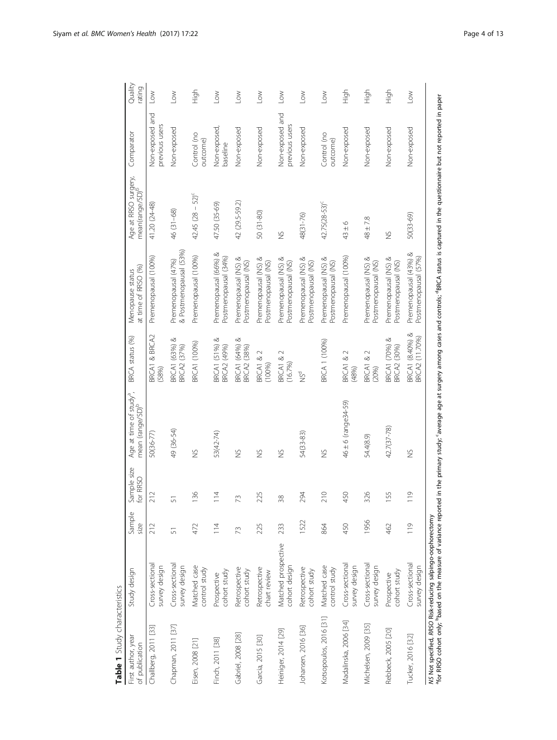| First author, year<br>of publication | Study design                                                                                                                                            | Sample<br>size | Sample size<br>for RRSO | Age at time of study <sup>a</sup> ,<br>mean (range/SD) <sup>b</sup> | BRCA status (%)                      | at time of RRSO (%)<br>Menopause status                                                                                                         | Age at RRSO surgery,<br>mean(range/SD) <sup>b</sup> | Comparator                        | Quality<br>rating |
|--------------------------------------|---------------------------------------------------------------------------------------------------------------------------------------------------------|----------------|-------------------------|---------------------------------------------------------------------|--------------------------------------|-------------------------------------------------------------------------------------------------------------------------------------------------|-----------------------------------------------------|-----------------------------------|-------------------|
| Challberg, 2011 [33]                 | Cross-sectional<br>survey design                                                                                                                        | 212            | 212                     | 50(36-77)                                                           | BRCA1 & BRCA2<br>(58%)               | Premenopausal (100%)                                                                                                                            | 41.20 (24-48)                                       | Von-exposed and<br>previous users | $_{\text{Low}}$   |
| Chapman, 2011 [37]                   | Cross-sectional<br>survey design                                                                                                                        | 51             | 51                      | 49 (36-54)                                                          | ∞<br>BRCA1 (63%)<br>3RCA2 (37%)      | & Postmenopausal (53%)<br>Premenopausal (47%)                                                                                                   | 46 (31-68)                                          | Non-exposed                       | $\geq$            |
| Eisen, 2008 [21]                     | Matched case<br>control study                                                                                                                           | 472            | 36                      | $\frac{5}{2}$                                                       | BRCA1 (100%)                         | Premenopausal (100%)                                                                                                                            | 42.45 $(28 - 52)^c$                                 | Control (no<br>outcome)           | High              |
| Finch, 2011 [38]                     | cohort study<br>Prospective                                                                                                                             | $\frac{4}{11}$ | $\overline{4}$          | 53(42-74)                                                           | ∞<br>BRCA1 (51%)<br>BRCA2 (49%)      | Premenopausal (66%) &<br>Postmenopausal (34%)                                                                                                   | 47.50 (35-69)                                       | Non-exposed,<br>baseline          | $\geq$            |
| Gabriel, 2008 [28]                   | Retrospective<br>cohort study                                                                                                                           | 73             | 73                      | $\frac{5}{2}$                                                       | ∞<br>BRCA1 (64%)<br>BRCA2 (38%)      | Premenopausal (NS) &<br>Postmenopausal (NS)                                                                                                     | 42 (29.5-59.2)                                      | Non-exposed                       | $\geq$            |
| Garcia, 2015 [30]                    | Retrospective<br>chart review                                                                                                                           | 225            | 225                     | $\frac{5}{2}$                                                       | BRCA1 & 2<br>(100%)                  | Premenopausal (NS) &<br>Postmenopausal (NS)                                                                                                     | 50 (31-80)                                          | Non-exposed                       | $\leq$            |
| Heiniger, 2014 [29]                  | Matched prospective<br>cohort design                                                                                                                    | 233            | 38                      | $\frac{5}{2}$                                                       | $\sim$<br>BRCA1&<br>(16.7%)          | Premenopausal (NS) &<br>Postmenopausal (NS)                                                                                                     | $\frac{6}{2}$                                       | Von-exposed and<br>previous users | $\sim$            |
| Johansen, 2016 [36]                  | Retrospective<br>cohort study                                                                                                                           | 1522           | 294                     | 54(33-83)                                                           | p <sub>SQ</sub>                      | Premenopausal (NS) &<br>Postmenopausal (NS)                                                                                                     | 48(31-76)                                           | Non-exposed                       | $\leq$            |
| Kotsopoulos, 2016 [31]               | Matched case<br>control study                                                                                                                           | 864            | 210                     | $\frac{5}{2}$                                                       | BRCA 1 (100%)                        | Premenopausal (NS) &<br>Postmenopausal (NS)                                                                                                     | 42.75(28-53) <sup>c</sup>                           | Control (no<br>outcome)           | $\leq$            |
| Madalinska, 2006 [34]                | Cross-sectional<br>survey design                                                                                                                        | 450            | 450                     | $46 \pm 6$ (range 34-59)                                            | $\sim$<br>BRCA1&<br>(48%)            | Premenopausal (100%)                                                                                                                            | $43 \pm 6$                                          | Non-exposed                       | High              |
| Michelsen, 2009 [35]                 | Cross-sectional<br>survey design                                                                                                                        | 1956           | 326                     | 54.4(8.9)                                                           | $\sim$<br>∞<br>BRCA1<br>(20%)        | Premenopausal (NS) &<br>Postmenopausal (NS)                                                                                                     | $48 \pm 7.8$                                        | Non-exposed                       | High              |
| Rebbeck, 2005 [20]                   | cohort study<br>Prospective                                                                                                                             | 462            | 55                      | 42.7(37-78)                                                         | ∞<br>BRCA1 (70%)<br>BRCA2 (30%)      | Premenopausal (NS) &<br>Postmenopausal (NS)                                                                                                     | $\frac{5}{2}$                                       | Non-exposed                       | High              |
| Tucker, 2016 [32]                    | Cross-sectional<br>survey design                                                                                                                        | 119            | $\circ$                 | $\frac{5}{2}$                                                       | BRCA1 (8.40%) &<br>(11.70%)<br>BRCA2 | Premenopausal (43%) &<br>Postmenopausal (57%)                                                                                                   | 50(33-69)                                           | Non-exposed                       | $\geq$            |
|                                      | <sup>9</sup> for RRSO cohort only; <sup>b</sup> based on the measure of variance reported<br>NS Not specified, RRSO Risk-reducing salpingo-oophorectomy |                |                         |                                                                     |                                      | in the primary study; 'average age at surgery among cases and controls; 'BRCA status is captured in the questionnaire but not reported in paper |                                                     |                                   |                   |

<span id="page-3-0"></span>Siyam et al. BMC Women's Health (2017) 17:22 extending the state of the Page 4 of 13

Table 1 Study characteristics

Table 1 Study characteristics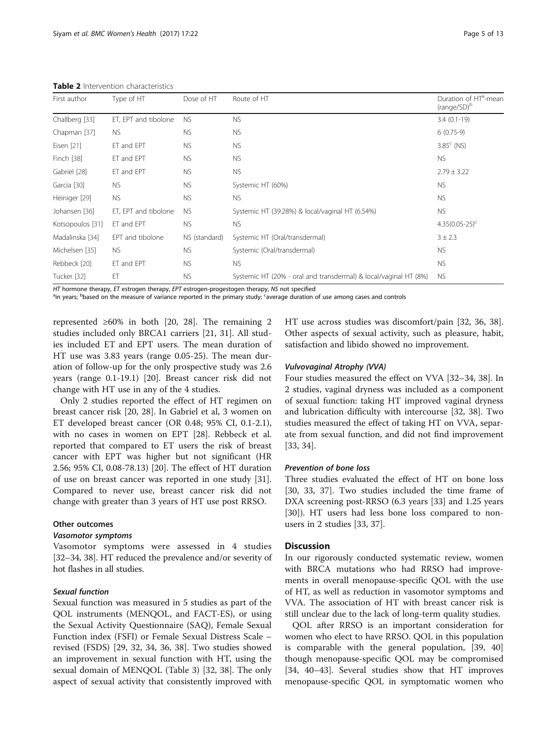| First author     | Type of HT           | Dose of HT    | Route of HT                                                      | Duration of HT <sup>a</sup> -mean<br>(range/SD) <sup>b</sup> |
|------------------|----------------------|---------------|------------------------------------------------------------------|--------------------------------------------------------------|
| Challberg [33]   | ET, EPT and tibolone | <b>NS</b>     | <b>NS</b>                                                        | $3.4(0.1-19)$                                                |
| Chapman [37]     | <b>NS</b>            | <b>NS</b>     | <b>NS</b>                                                        | $6(0.75-9)$                                                  |
| Eisen [21]       | ET and EPT           | <b>NS</b>     | <b>NS</b>                                                        | $3.85^{\circ}$ (NS)                                          |
| Finch [38]       | ET and EPT           | <b>NS</b>     | <b>NS</b>                                                        | <b>NS</b>                                                    |
| Gabriel [28]     | ET and EPT           | <b>NS</b>     | <b>NS</b>                                                        | $2.79 \pm 3.22$                                              |
| Garcia [30]      | <b>NS</b>            | <b>NS</b>     | Systemic HT (60%)                                                | <b>NS</b>                                                    |
| Heiniger [29]    | <b>NS</b>            | <b>NS</b>     | <b>NS</b>                                                        | <b>NS</b>                                                    |
| Johansen [36]    | ET, EPT and tibolone | <b>NS</b>     | Systemic HT (39.28%) & local/vaginal HT (6.54%)                  | <b>NS</b>                                                    |
| Kotsopoulos [31] | ET and EPT           | <b>NS</b>     | <b>NS</b>                                                        | $4.35(0.05-25)^{c}$                                          |
| Madalinska [34]  | EPT and tibolone     | NS (standard) | Systemic HT (Oral/transdermal)                                   | $3 \pm 2.3$                                                  |
| Michelsen [35]   | NS.                  | <b>NS</b>     | Systemic (Oral/transdermal)                                      | <b>NS</b>                                                    |
| Rebbeck [20]     | ET and EPT           | <b>NS</b>     | <b>NS</b>                                                        | <b>NS</b>                                                    |
| Tucker [32]      | ET                   | <b>NS</b>     | Systemic HT (20% - oral and transdermal) & local/vaginal HT (8%) | NS.                                                          |

<span id="page-4-0"></span>Table 2 Intervention characteristics

HT hormone therapy, ET estrogen therapy, EPT estrogen-progestogen therapy, NS not specified

in years; <sup>b</sup>based on the measure of variance reported in the primary study; <sup>c</sup>average duration of use among cases and controls

represented  $\geq 60\%$  in both [[20, 28](#page-11-0)]. The remaining 2 studies included only BRCA1 carriers [[21](#page-11-0), [31\]](#page-11-0). All studies included ET and EPT users. The mean duration of HT use was 3.83 years (range 0.05-25). The mean duration of follow-up for the only prospective study was 2.6 years (range 0.1-19.1) [[20\]](#page-11-0). Breast cancer risk did not change with HT use in any of the 4 studies.

Only 2 studies reported the effect of HT regimen on breast cancer risk [\[20, 28](#page-11-0)]. In Gabriel et al, 3 women on ET developed breast cancer (OR 0.48; 95% CI, 0.1-2.1), with no cases in women on EPT [[28](#page-11-0)]. Rebbeck et al. reported that compared to ET users the risk of breast cancer with EPT was higher but not significant (HR 2.56; 95% CI, 0.08-78.13) [\[20\]](#page-11-0). The effect of HT duration of use on breast cancer was reported in one study [\[31](#page-11-0)]. Compared to never use, breast cancer risk did not change with greater than 3 years of HT use post RRSO.

#### Other outcomes

Vasomotor symptoms Vasomotor symptoms were assessed in 4 studies [[32](#page-11-0)–[34, 38](#page-11-0)]. HT reduced the prevalence and/or severity of hot flashes in all studies.

Sexual function Sexual function was measured in 5 studies as part of the QOL instruments (MENQOL, and FACT-ES), or using the Sexual Activity Questionnaire (SAQ), Female Sexual Function index (FSFI) or Female Sexual Distress Scale – revised (FSDS) [\[29](#page-11-0), [32, 34, 36](#page-11-0), [38\]](#page-11-0). Two studies showed an improvement in sexual function with HT, using the sexual domain of MENQOL (Table [3](#page-5-0)) [[32, 38](#page-11-0)]. The only aspect of sexual activity that consistently improved with

HT use across studies was discomfort/pain [[32, 36](#page-11-0), [38](#page-11-0)]. Other aspects of sexual activity, such as pleasure, habit, satisfaction and libido showed no improvement.

Four studies measured the effect on VVA [\[32](#page-11-0)–[34, 38\]](#page-11-0). In 2 studies, vaginal dryness was included as a component of sexual function: taking HT improved vaginal dryness and lubrication difficulty with intercourse [[32](#page-11-0), [38\]](#page-11-0). Two studies measured the effect of taking HT on VVA, separate from sexual function, and did not find improvement [[33, 34\]](#page-11-0).

#### Prevention of bone loss

Three studies evaluated the effect of HT on bone loss [[30, 33, 37](#page-11-0)]. Two studies included the time frame of DXA screening post-RRSO (6.3 years [[33\]](#page-11-0) and 1.25 years [[30\]](#page-11-0)). HT users had less bone loss compared to nonusers in 2 studies [[33, 37](#page-11-0)].

#### **Discussion**

In our rigorously conducted systematic review, women with BRCA mutations who had RRSO had improvements in overall menopause-specific QOL with the use of HT, as well as reduction in vasomotor symptoms and VVA. The association of HT with breast cancer risk is still unclear due to the lack of long-term quality studies.

QOL after RRSO is an important consideration for women who elect to have RRSO. QOL in this population is comparable with the general population, [\[39, 40](#page-11-0)] though menopause-specific QOL may be compromised [[34, 40](#page-11-0)–[43](#page-12-0)]. Several studies show that HT improves menopause-specific QOL in symptomatic women who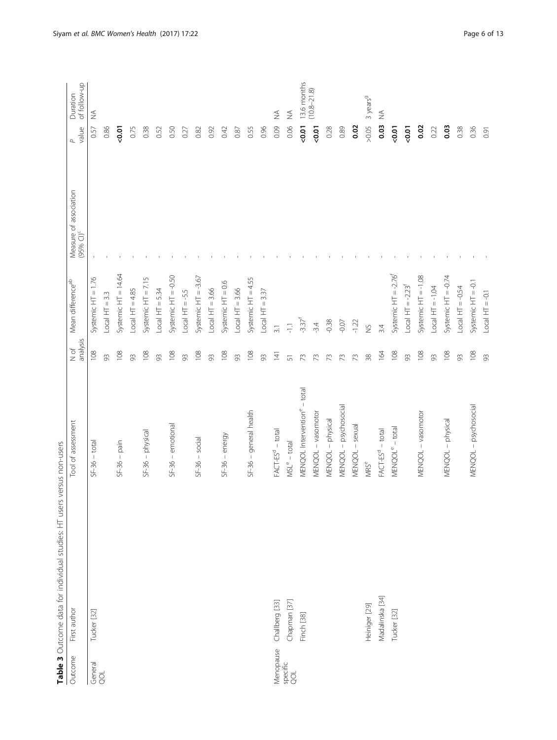<span id="page-5-0"></span>

|                 | Table 3 Outcome data for individual studies: HT users | versus non-users                         |                           |                               |                                                 |                    |                          |
|-----------------|-------------------------------------------------------|------------------------------------------|---------------------------|-------------------------------|-------------------------------------------------|--------------------|--------------------------|
| Outcome         | First author                                          | Tool of assessment                       | analysis<br>$\frac{1}{2}$ | Mean difference <sup>ab</sup> | Measure of association<br>(95% CI) <sup>c</sup> | value<br>$\Delta$  | of follow-up<br>Duration |
| General<br>QOL  | Tucker [32]                                           | $SF-36 - total$                          | 108                       | Systemic $HT = 1.76$          |                                                 | $\lessgtr$<br>0.57 |                          |
|                 |                                                       |                                          | 93                        | $Local HT = 3.3$              |                                                 | 0.86               |                          |
|                 |                                                       | $SF-36 - pain$                           | 108                       | Systemic $HT = 14.64$         |                                                 | $-0.07$            |                          |
|                 |                                                       |                                          | 93                        | $Local HT = 4.85$             |                                                 | 0.75               |                          |
|                 |                                                       | $SF-36 - physical$                       | 108                       | Systemic $HT = 7.15$          |                                                 | 0.38               |                          |
|                 |                                                       |                                          | 93                        | $Local HT = 5.34$             |                                                 | 0.52               |                          |
|                 |                                                       | $SF-36 - emotion$                        | 108                       | Systemic $HT = -0.50$         |                                                 | 0.50               |                          |
|                 |                                                       |                                          | 93                        | $Local HT = -5.5$             |                                                 | 0.27               |                          |
|                 |                                                       | $SF-36 - social$                         | 108                       | Systemic $HT = -3.67$         |                                                 | 0.82               |                          |
|                 |                                                       |                                          | 93                        | $Local HT = 3.66$             |                                                 | 0.92               |                          |
|                 |                                                       | - energy<br>SF-36                        | 108                       | Systemic $HT = 0.6$           |                                                 | 0.42               |                          |
|                 |                                                       |                                          | 93                        | $Local HT = 3.66$             |                                                 | 0.87               |                          |
|                 |                                                       | SF-36 - general health                   | 108                       | Systemic $HT = 4.55$          |                                                 | 0.55               |                          |
|                 |                                                       |                                          | 93                        | $Local HT = 3.37$             |                                                 | 0.96               |                          |
| Menopause       | Challberg [33]                                        | $FACT-ESd - total$                       | $\overline{141}$          | $\overline{3}$ .              |                                                 | $\lessgtr$<br>0.09 |                          |
| specific<br>QOL | Chapman [37]                                          | $MSLe - total$                           | 51                        | $\overline{11}$               |                                                 | $\lessgtr$<br>0.06 |                          |
|                 | Finch [38]                                            | MENQOL Intervention <sup>e</sup> - total | 73                        | $-3.37$ <sup>f</sup>          |                                                 | $-0.01$            | 13.6 months              |
|                 |                                                       | MENQOL - vasomotor                       | 73                        | $-3.4$                        |                                                 | $-0.01$            | $(10.8 - 21.8)$          |
|                 |                                                       | MENQOL - physical                        | 73                        | $-0.38$                       |                                                 | 0.28               |                          |
|                 |                                                       | MENQOL - psychosocial                    | 73                        | $-0.07$                       |                                                 | 0.89               |                          |
|                 |                                                       | MENQOL - sexual                          | 73                        | $-1.22$                       |                                                 | 0.02               |                          |
|                 | Heiniger [29]                                         | $MRS^e$                                  | 38                        | $\frac{5}{2}$                 |                                                 | $>0.05$            | 3 years <sup>9</sup>     |
|                 | Madalinska [34]                                       | $FACT-ESd - total$                       | 164                       | 3.4                           |                                                 | $\lessgtr$<br>0.03 |                          |
|                 | Tucker [32]                                           | MENQOL <sup>e</sup> - total              | 108                       | Systemic $HT = -2.76t$        |                                                 | $-0.07$            |                          |
|                 |                                                       |                                          | $\Im$                     | $Local HT = -2.23f$           |                                                 | $-0.01$            |                          |
|                 |                                                       | MENQOL - vasomotor                       | 108                       | Systemic $HT = -1.08$         |                                                 | 0.02               |                          |
|                 |                                                       |                                          | 93                        | $Local HT = -1.04$            |                                                 | 0.22               |                          |
|                 |                                                       | MENQOL - physical                        | 108                       | Systemic $HT = -0.74$         |                                                 | 0.03               |                          |
|                 |                                                       |                                          | 93                        | $Local HT = -0.54$            |                                                 | 0.38               |                          |
|                 |                                                       | MENQOL - psychosocial                    | 108                       | Systemic $HT = -0.1$          |                                                 | 0.36               |                          |
|                 |                                                       |                                          | 93                        | $Local HT = -0.1$             |                                                 | 0.91               |                          |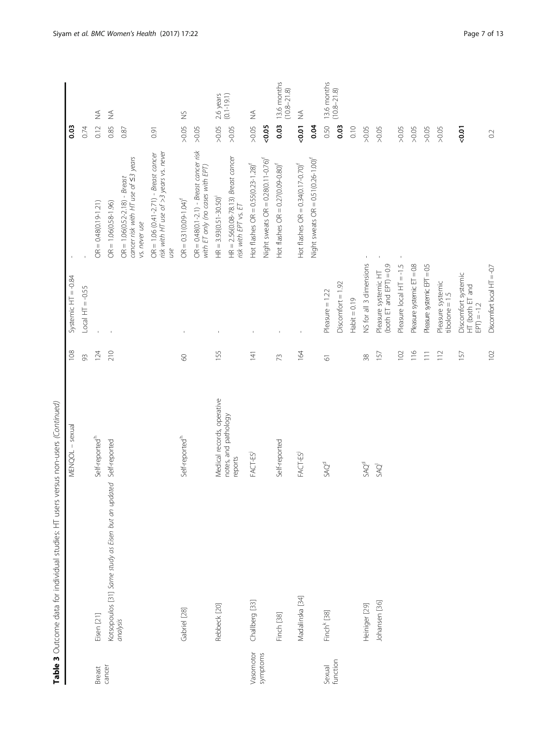|           |                                                     | MENQOL - sexual                 | 108                | Systemic $HT = -0.84$                                  |                                                                                           | 0.03    |                                |
|-----------|-----------------------------------------------------|---------------------------------|--------------------|--------------------------------------------------------|-------------------------------------------------------------------------------------------|---------|--------------------------------|
|           |                                                     |                                 | 93                 | $Local HT = -0.55$                                     |                                                                                           | 0.74    |                                |
| Breast    | Eisen [21]                                          | Self-reported <sup>h</sup>      | 124                |                                                        | $OR = 0.48(0.19 - 1.21)$                                                                  | 0.12    | ₹                              |
| cancer    | Kotsopoulos [31] Same study as Eisen but an updated | Self-reported                   | 210                | $\mathbf{I}$                                           | $OR = 1.06(0.58 - 1.96)$                                                                  | 0.85    | $\lessgtr$                     |
|           | analysis                                            |                                 |                    |                                                        | cancer risk with HT use of <3 years<br>$OR = 1.06(0.52 - 2.18) - Breat$<br>vs. never use  | 0.87    |                                |
|           |                                                     |                                 |                    |                                                        | risk with HT use of >3 years vs. never<br>$OR = 1.06 (0.41 - 2.71) - Breat cancer$<br>use | 0.91    |                                |
|           | Gabriel [28]                                        | Self-reported <sup>h</sup>      | $\odot$            | $\mathbf{I}$                                           | $OR = 0.31(0.09 - 1.04)^f$                                                                | $>0.05$ | $\gtrapprox$                   |
|           |                                                     |                                 |                    |                                                        | $OR = 0.48(0.1 - 2.1)$ - Breast cancer risk<br>with ET only (no cases with EPT)           | >0.05   |                                |
|           | Rebbeck [20]                                        | Medical records, operative      | 155                | r.                                                     | $HR = 3.93(0.51 - 30.50)^{1}$                                                             | $>0.05$ | 2.6 years                      |
|           |                                                     | notes, and pathology<br>reports |                    |                                                        | $HR = 2.56(0.08 - 78.13)$ Breast cancer<br>risk with EPT vs. ET                           | $>0.05$ | $(0.1 - 19.1)$                 |
| Vasomotor | Challberg [33]                                      | FACT-ES <sup>j</sup>            | $\overline{141}$   |                                                        | Hot flashes $OR = 0.55(0.23 - 1.28)^f$                                                    | $>0.05$ | $\lessgtr$                     |
| symptoms  |                                                     |                                 |                    |                                                        | Night sweats $OR = 0.28(0.11 - 0.76)^f$                                                   | 0.05    |                                |
|           | Finch [38]                                          | Self-reported                   | 73                 |                                                        | Hot flashes OR = 0.27(0.09-0.80) <sup>f</sup>                                             | 0.03    | 13.6 months<br>$(10.8 - 21.8)$ |
|           | Madalinska [34]                                     | FACT-ES <sup>j</sup>            | 164                | $\mathbf{I}$                                           | Hot flashes OR = $0.34(0.17 - 0.70)^f$                                                    | $-0.01$ | $\lessgtr$                     |
|           |                                                     |                                 |                    |                                                        | Night sweats $OR = 0.51(0.26 - 1.00)^f$                                                   | 0.04    |                                |
| Sexual    | Finch <sup>k</sup> [38]                             | SAQ <sup>d</sup>                | $\overline{\circ}$ | $Pleaseure = 1.22$                                     |                                                                                           | 0.50    | 13.6 months                    |
| function  |                                                     |                                 |                    | $Discountort = 1.92$                                   |                                                                                           | 0.03    | $(10.8 - 21.8)$                |
|           |                                                     |                                 |                    | $Habit = 0.19$                                         |                                                                                           | 0.10    |                                |
|           | Heiniger [29]                                       | SAQ <sup>d</sup>                | 38                 | NS for all 3 dimensions                                | $\mathsf I$                                                                               | $>0.05$ |                                |
|           | Johansen [36]                                       | SAQ                             | 157                | Pleasure systemic HT<br>(both ET and EPT) = 0.9        | $\mathfrak{t}$                                                                            | >0.05   |                                |
|           |                                                     |                                 | 102                | Pleasure $local HT = -1.5$                             | $\,$ $\,$                                                                                 | $>0.05$ |                                |
|           |                                                     |                                 | 116                | Pleasure systemic ET = 0.8                             |                                                                                           | $>0.05$ |                                |
|           |                                                     |                                 | $\overline{11}$    | Pleasure systemic EPT = 0.5                            |                                                                                           | $>0.05$ |                                |
|           |                                                     |                                 | 112                | Pleasure systemic<br>$t$ ibolone = $1.5$               |                                                                                           | >0.05   |                                |
|           |                                                     |                                 | 157                | Discomfort systemic<br>HT (both ET and<br>$EPT = -1.2$ |                                                                                           | 50.01   |                                |
|           |                                                     |                                 | 102                | Discomfort local $HT = 0.7$                            |                                                                                           | 0.2     |                                |

Table 3 Outcome data for individual studies: HT users versus non-users (Continued) Table 3 Outcome data for individual studies: HT users versus non-users (Continued)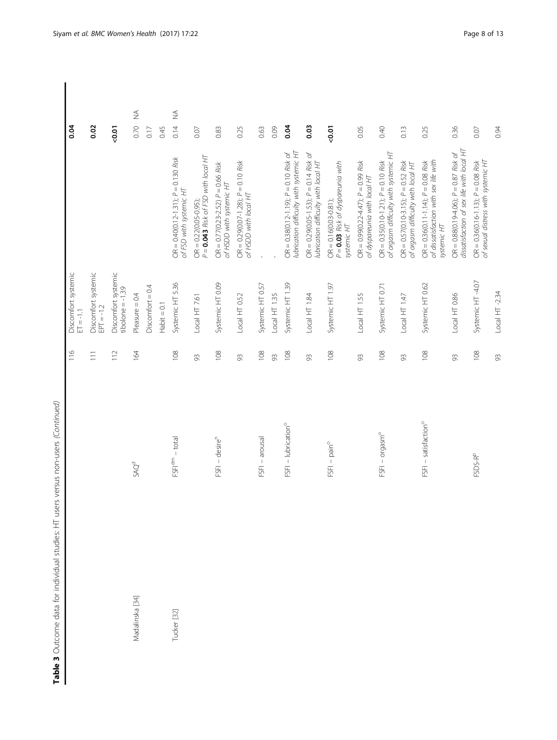|                                    |                                     |                                              | $\lessgtr$             |                  |               | $\lessgtr$                                                             |                                                                   |                                                                      |                                                                     |                  |               |                                                                                          |                                                                                |                                                                                  |                                                                            |                                                                                   |                                                                             |                                                                                                 |                                                                                            |                                                                                 |               |
|------------------------------------|-------------------------------------|----------------------------------------------|------------------------|------------------|---------------|------------------------------------------------------------------------|-------------------------------------------------------------------|----------------------------------------------------------------------|---------------------------------------------------------------------|------------------|---------------|------------------------------------------------------------------------------------------|--------------------------------------------------------------------------------|----------------------------------------------------------------------------------|----------------------------------------------------------------------------|-----------------------------------------------------------------------------------|-----------------------------------------------------------------------------|-------------------------------------------------------------------------------------------------|--------------------------------------------------------------------------------------------|---------------------------------------------------------------------------------|---------------|
| 0.04                               | 0.02                                | 50.07                                        | 0.70                   | 0.17             | 0.45          | 0.14                                                                   | $0.07$                                                            | 0.83                                                                 | 0.25                                                                | 0.63             | 0.09          | 0.04                                                                                     | 0.03                                                                           | $-0.01$                                                                          | 0.05                                                                       | 0.40                                                                              | 0.13                                                                        | 0.25                                                                                            | 0.36                                                                                       | $0.07\,$                                                                        | 0.94          |
|                                    |                                     |                                              |                        |                  |               | OR = $0.40(0.12 - 1.31)$ ; $P = 0.130$ Risk<br>of FSD with systemic HT | $P = 0.043$ Risk of FSD with local HT<br>$OR = 0.22(0.05 - 0.95)$ | $OR = 0.77(0.23 - 2.52)$ $P = 0.66$ Risk<br>of HSDD with systemic HT | OR = $0.29(0.07 - 1.28)$ ; $P = 0.10$ Risk<br>of HSDD with local HT |                  |               | lubrication difficulty with systemic HT<br>OR = $0.38(0.12 - 1.19)$ ; $P = 0.10$ Risk of | OR = 0.29(0.05-1.53); P = 0.14 Risk of<br>lubrication difficulty with local HT | $P = 0.03$ Risk of dyspareunia with<br>$OR = 0.16(0.03 - 0.81)$ ;<br>systemic HT | OR = $0.99(0.22 - 4.47)$ ; $P = 0.99$ Risk<br>of dyspareunia with local HT | of orgasm difficulty with systemic HT<br>OR = $0.35(0.10-1.21)$ ; $P = 0.10$ Risk | $OR = 0.57(0.10-3.15); P = 0.52$ Risk<br>of orgasm difficulty with local HT | $OR = 0.36(0.11 - 1.14); P = 0.08$ Risk<br>of dissatisfaction with sex life with<br>systemic HT | dissatisfaction of sex life with local HT<br>OR = $0.88(0.19 - 4.06)$ ; $P = 0.87$ Risk of | $OR = 0.36(0.16-1.13)$ ; $P = 0.08$ Risk<br>of sexual distress with systemic HT |               |
| Discomfort systemic<br>$ET = -1.1$ | Discomfort systemic<br>$EPT = -1.2$ | Discomfort systemic<br>$tibo$ lone = $-1.39$ | $Pleaseure = 0.4$      | $Discount = 0.4$ | $Habit = 0.1$ | Systemic HT 5.36                                                       | Local HT 7.61                                                     | Systemic HT 0.09                                                     | Local HT 0.52                                                       | Systemic HT 0.57 | Local HT 1.35 | Systemic HT 1.39                                                                         | Local HT 1.84                                                                  | Systemic HT 1.97                                                                 | Local HT 1.55                                                              | Systemic HT 0.71                                                                  | Local HT 1.47                                                               | Systemic HT 0.62                                                                                | Local HT 0.86                                                                              | Systemic HT-4.07                                                                | Local HT-2.34 |
| 116                                | $\overline{111}$                    | 112                                          | 164                    |                  |               | 108                                                                    | 93                                                                | 108                                                                  | 93                                                                  | 108              | 93            | 108                                                                                      | $\Im$                                                                          | 108                                                                              | 93                                                                         | 108                                                                               | 93                                                                          | 108                                                                                             | 93                                                                                         | 108                                                                             | 93            |
|                                    |                                     |                                              | <b>SAQ<sup>d</sup></b> |                  |               | FSFI <sup>dm</sup> - total                                             |                                                                   | - desire <sup>n</sup><br>FSFI                                        |                                                                     | FSFI - arousal   |               | FSFI - lubrication <sup>o</sup>                                                          |                                                                                | $FSFI - paino$                                                                   |                                                                            | $-$ orgasm $^{\circ}$<br>ESFI.                                                    |                                                                             | $FSFI - satisfactoro$                                                                           |                                                                                            | FSDS-R <sup>p</sup>                                                             |               |
|                                    |                                     |                                              | Madalinska [34]        |                  |               | Tucker [32]                                                            |                                                                   |                                                                      |                                                                     |                  |               |                                                                                          |                                                                                |                                                                                  |                                                                            |                                                                                   |                                                                             |                                                                                                 |                                                                                            |                                                                                 |               |

Table 3 Outcome data for individual studies: HT users versus non-users (Continued) Table 3 Outcome data for individual studies: HT users versus non-users (Continued)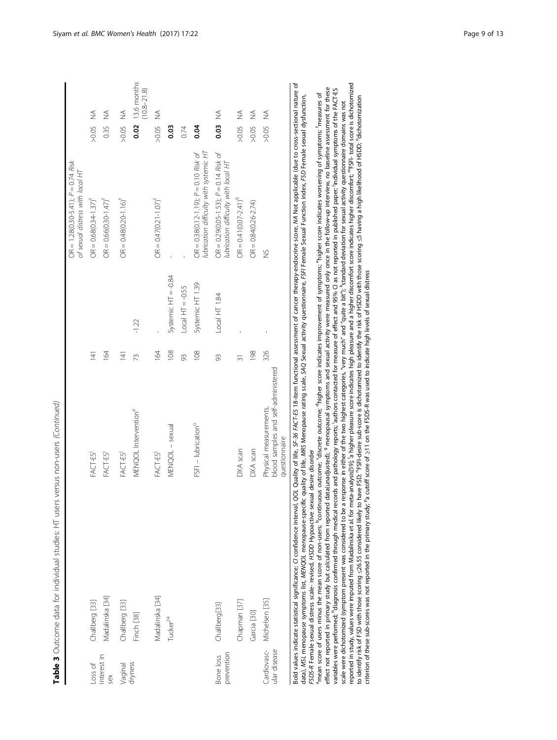|                         |                                                                        |                                                                                                                                                         |                  |                       | $OR = 1.28(0.30 - 5.41); P = 0.74 Risk$<br>of sexual distress with local HT              |         |                                     |
|-------------------------|------------------------------------------------------------------------|---------------------------------------------------------------------------------------------------------------------------------------------------------|------------------|-----------------------|------------------------------------------------------------------------------------------|---------|-------------------------------------|
| Loss of                 | Challberg [33]                                                         | FACT-ES <sup>J</sup>                                                                                                                                    | 141              |                       | $OR = 0.68(0.34 - 1.37)^T$                                                               | $>0.05$ | $\frac{1}{2}$                       |
| interest in<br>sex      | Madalinska [34]                                                        | FACT-ES <sup>1</sup>                                                                                                                                    | 164              |                       | $OR = 0.66(0.30 - 1.47)^T$                                                               | 0.35    | ₹                                   |
| Vaginal                 | Challberg [33]                                                         | FACT-ES <sup>I</sup>                                                                                                                                    | $\overline{141}$ |                       | $OR = 0.48(0.20 - 1.16)$                                                                 | $>0.05$ | ⋚                                   |
| dryness                 | Finch [38]                                                             | MENQOL Intervention <sup>e</sup>                                                                                                                        | 73               | $-1.22$               |                                                                                          |         | 0.02 13.6 months<br>$(10.8 - 21.8)$ |
|                         | Madalinska [34]                                                        | FACT-ES <sup>1</sup>                                                                                                                                    | 164              |                       | $OR = 0.47(0.21 - 1.07)^T$                                                               | >0.05   | ≸                                   |
|                         | Tucker <sup>24</sup>                                                   | MENQOL - sexual                                                                                                                                         | $\frac{8}{2}$    | Systemic $HT = -0.84$ |                                                                                          | 0.03    |                                     |
|                         |                                                                        |                                                                                                                                                         | 93               | $Local HT = -0.55$    |                                                                                          | 0.74    |                                     |
|                         |                                                                        | FSFI - lubrication <sup>o</sup>                                                                                                                         | 108              | Systemic HT 1.39      | lubrication difficulty with systemic HT<br>$OR = 0.38(0.12 - 1.19)$ ; $P = 0.10$ Risk of | 0.04    |                                     |
| prevention<br>Bone loss | Challberg[33]                                                          |                                                                                                                                                         | 93               | Local HT 1.84         | $OR = 0.29(0.05 - 1.53); P = 0.14$ Risk of<br>lubrication difficulty with local HT       | 0.03    | ≸                                   |
|                         | Chapman [37]                                                           | DXA scan                                                                                                                                                | _<br>ო           |                       | $OR = 0.41(0.07 - 2.41)f$                                                                | >0.05   | ⋚                                   |
|                         | Garcia [30]                                                            | DXA scan                                                                                                                                                | 198              |                       | $OR = 0.84(0.26 - 2.74)$                                                                 | >0.05   | ⋚                                   |
| ular disease            | Cardiovasc- Michelsen [35]                                             | blood samples and self-administered<br>Physical measurements,<br>questionnaire                                                                          | 326              |                       | $\frac{5}{2}$                                                                            | $>0.05$ | $\frac{1}{2}$                       |
|                         | Bold values indicate statistical significance; CI confidence interval, | QOL Quality of life, SF-36 FACT-ES 18 item functional assessment of cancer therapy-endocrine score, MA Not applicable (due to cross-sectional nature of |                  |                       |                                                                                          |         |                                     |

Table 3 Outcome data for individual studies: HT users versus non-users (Continued)

Table 3 Outcome data for individual studies: HT users versus non-users (Continued)

data), MSL menopause symptoms list, MENQOL menopause-specific quality of life, MRS Menopause rating scale, SAQ Sexual activity questionnaire, FSFI Female Sexual Function index, FSD Female sexual dysfunction, unction index, FSD Female sexual dysfunction, Sexua FSFI Female 1 Sexual activity questionnaire, quality of life, MRS Menopause rating scale, SAQ FSDS-R Female sexual distress scale-revised, HSDD Hypoactive sexual desire disorder FSDS-R Female sexual distress scale- revised, HSDD Hypoactive sexual desire disorder data), MSL menopause symptoms list, MENQOL menopause-specific | 2

reported in study, values were imputed from Madalinska et al. for meta-analysis[59]; <sup>l</sup>a higher pleasure score indicates high pleasure and a higher discomfort score indicates higher discomfort; "FSFI- total score is dicho reported in study, values were imputed from Madalinska et al. for meta-analysis[\[59](#page-12-0)]; a higher score indicates high pleasure and a higher discomfort score indicates higher discomfort; "FSFI- total score is dichotomized effect not reported in primary study but calculated from reported data(unadjusted); <sup>9</sup> menopausal symptoms and sexual activity were measured only once in the follow-up interview, no baseline assessment for these diagnosis confirmed through medical records and pathology reports; authors contacted for measure of effect and 95% Cl as not reported in published paper; individual symptoms of the FACT-ES effect not reported in primary study but calculated from reported data(unadjusted); <sup>9</sup> menopausal symptoms and sexual activity were measured only once in the follow-up interview, no baseline assessment for these variables were performed; hdiagnosis confirmed through medical records and pathology reports; iauthors contacted for measure of effect and 95% CI as not reported in published paper; jindividual symptoms of the FACT-ES mean score of users minus the mean score of non-users, continuous outcome; calscrete outcome; <sup>d</sup>higher score indicates improvement of symptoms; "higher score indicates worsening of symptoms; <sup>f</sup>measures of mean score of users minus the mean score of non-users; <sup>b</sup>continuous outcome; <sup>c</sup>discrete outcome; <sup>e</sup>higher score inmprome; fmigher score indicates worsening of symptoms; fmeasures of to identify risk of FSD with those scoring ≤2655 considered likely to have FSD; "FSFI-desire sub-score is dichotomized to identify the risk of HSDD with those scoring ≤3 having a high likelihood of HSDD; °dichotomization to identify risk of FSD with those scoring ≤26.55 considered likely to have FSD; "FSFI-desire sub-score is dichotomized to identify the risk of HSDD with those scoring ≤5 having a high likelihood of HSDD; <sup>o</sup>dichotomizati scale were dichotomized (symptom present was considered to be a response in either of the two highest categories, "very much" and "quite a bit"); "standard deviation for sexual activity questionnaire domains was not scale were dichotomized (symptom present was considered to be a response in either of the two highest categories, "very much" and "quite a bit"); kstandard deviation for sexual activity questionnaire domains was not criterion of these sub-scores was not reported in the primary study; <sup>p</sup>a cutoff score of 211 on the FSDS-R was used to indicate high levels of sexual distress criterion of these sub-scores was not reported in the primary study; pa cutoff score of ≥11 on the FSDS-R was used to indicate high levels of sexual distress variables were performed;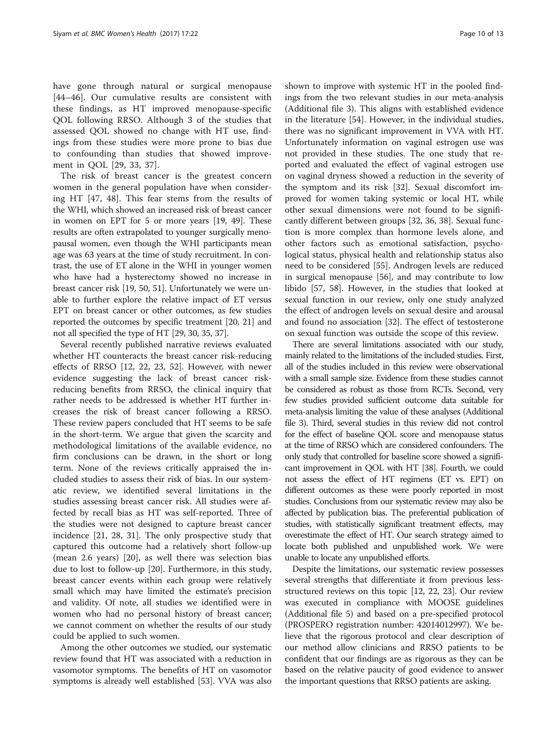have gone through natural or surgical menopause [[44](#page-12-0)–[46\]](#page-12-0). Our cumulative results are consistent with these findings, as HT improved menopause-specific QOL following RRSO. Although 3 of the studies that assessed QOL showed no change with HT use, findings from these studies were more prone to bias due to confounding than studies that showed improvement in QOL [[29, 33, 37\]](#page-11-0).

The risk of breast cancer is the greatest concern women in the general population have when considering HT [[47, 48](#page-12-0)]. This fear stems from the results of the WHI, which showed an increased risk of breast cancer in women on EPT for 5 or more years [\[19,](#page-11-0) [49\]](#page-12-0). These results are often extrapolated to younger surgically menopausal women, even though the WHI participants mean age was 63 years at the time of study recruitment. In contrast, the use of ET alone in the WHI in younger women who have had a hysterectomy showed no increase in breast cancer risk [[19](#page-11-0), [50](#page-12-0), [51\]](#page-12-0). Unfortunately we were unable to further explore the relative impact of ET versus EPT on breast cancer or other outcomes, as few studies reported the outcomes by specific treatment [\[20, 21](#page-11-0)] and not all specified the type of HT [[29](#page-11-0), [30, 35](#page-11-0), [37](#page-11-0)].

Several recently published narrative reviews evaluated whether HT counteracts the breast cancer risk-reducing effects of RRSO [\[12, 22](#page-11-0), [23,](#page-11-0) [52](#page-12-0)]. However, with newer evidence suggesting the lack of breast cancer riskreducing benefits from RRSO, the clinical inquiry that rather needs to be addressed is whether HT further increases the risk of breast cancer following a RRSO. These review papers concluded that HT seems to be safe in the short-term. We argue that given the scarcity and methodological limitations of the available evidence, no firm conclusions can be drawn, in the short or long term. None of the reviews critically appraised the included studies to assess their risk of bias. In our systematic review, we identified several limitations in the studies assessing breast cancer risk. All studies were affected by recall bias as HT was self-reported. Three of the studies were not designed to capture breast cancer incidence [[21, 28](#page-11-0), [31](#page-11-0)]. The only prospective study that captured this outcome had a relatively short follow-up (mean 2.6 years) [\[20\]](#page-11-0), as well there was selection bias due to lost to follow-up [\[20](#page-11-0)]. Furthermore, in this study, breast cancer events within each group were relatively small which may have limited the estimate's precision and validity. Of note, all studies we identified were in women who had no personal history of breast cancer; we cannot comment on whether the results of our study could be applied to such women.

Among the other outcomes we studied, our systematic review found that HT was associated with a reduction in vasomotor symptoms. The benefits of HT on vasomotor symptoms is already well established [[53\]](#page-12-0). VVA was also

shown to improve with systemic HT in the pooled findings from the two relevant studies in our meta-analysis (Additional file [3\)](#page-10-0). This aligns with established evidence in the literature [\[54](#page-12-0)]. However, in the individual studies, there was no significant improvement in VVA with HT. Unfortunately information on vaginal estrogen use was not provided in these studies. The one study that reported and evaluated the effect of vaginal estrogen use on vaginal dryness showed a reduction in the severity of the symptom and its risk [\[32](#page-11-0)]. Sexual discomfort improved for women taking systemic or local HT, while other sexual dimensions were not found to be significantly different between groups [[32, 36, 38\]](#page-11-0). Sexual function is more complex than hormone levels alone, and other factors such as emotional satisfaction, psychological status, physical health and relationship status also need to be considered [\[55](#page-12-0)]. Androgen levels are reduced in surgical menopause [[56\]](#page-12-0), and may contribute to low libido [[57, 58](#page-12-0)]. However, in the studies that looked at sexual function in our review, only one study analyzed the effect of androgen levels on sexual desire and arousal and found no association [[32\]](#page-11-0). The effect of testosterone on sexual function was outside the scope of this review.

There are several limitations associated with our study, mainly related to the limitations of the included studies. First, all of the studies included in this review were observational with a small sample size. Evidence from these studies cannot be considered as robust as those from RCTs. Second, very few studies provided sufficient outcome data suitable for meta-analysis limiting the value of these analyses (Additional file [3](#page-10-0)). Third, several studies in this review did not control for the effect of baseline QOL score and menopause status at the time of RRSO which are considered confounders. The only study that controlled for baseline score showed a significant improvement in QOL with HT [\[38](#page-11-0)]. Fourth, we could not assess the effect of HT regimens (ET vs. EPT) on different outcomes as these were poorly reported in most studies. Conclusions from our systematic review may also be affected by publication bias. The preferential publication of studies, with statistically significant treatment effects, may overestimate the effect of HT. Our search strategy aimed to locate both published and unpublished work. We were unable to locate any unpublished efforts.

Despite the limitations, our systematic review possesses several strengths that differentiate it from previous lessstructured reviews on this topic [[12](#page-11-0), [22, 23](#page-11-0)]. Our review was executed in compliance with MOOSE guidelines (Additional file [5\)](#page-10-0) and based on a pre-specified protocol (PROSPERO registration number: 42014012997). We believe that the rigorous protocol and clear description of our method allow clinicians and RRSO patients to be confident that our findings are as rigorous as they can be based on the relative paucity of good evidence to answer the important questions that RRSO patients are asking.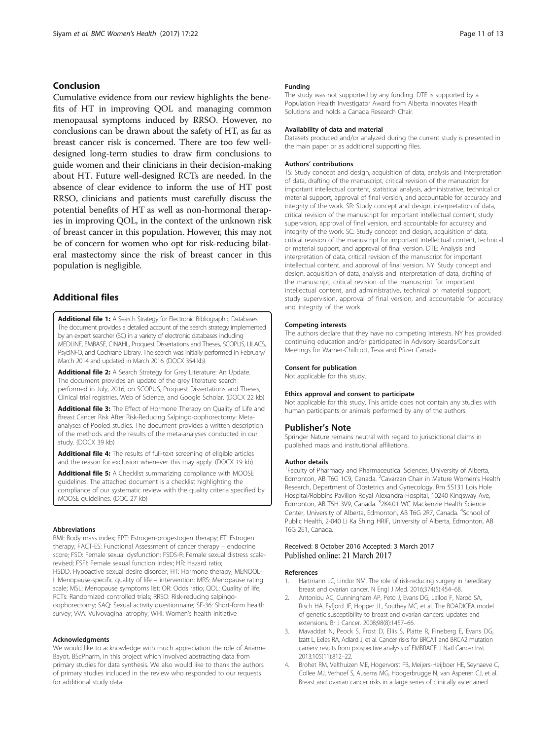#### <span id="page-10-0"></span>Conclusion

Cumulative evidence from our review highlights the benefits of HT in improving QOL and managing common menopausal symptoms induced by RRSO. However, no conclusions can be drawn about the safety of HT, as far as breast cancer risk is concerned. There are too few welldesigned long-term studies to draw firm conclusions to guide women and their clinicians in their decision-making about HT. Future well-designed RCTs are needed. In the absence of clear evidence to inform the use of HT post RRSO, clinicians and patients must carefully discuss the potential benefits of HT as well as non-hormonal therapies in improving QOL, in the context of the unknown risk of breast cancer in this population. However, this may not be of concern for women who opt for risk-reducing bilateral mastectomy since the risk of breast cancer in this population is negligible.

#### Additional files

[Additional file 1:](dx.doi.org/10.1186/s12905-017-0370-6) A Search Strategy for Electronic Bibliographic Databases. The document provides a detailed account of the search strategy implemented by an expert searcher (SC) in a variety of electronic databases including MEDLINE, EMBASE, CINAHL, Proquest Dissertations and Theses, SCOPUS, LILACS, PsycINFO, and Cochrane Library. The search was initially performed in February/ March 2014 and updated in March 2016. (DOCX 354 kb)

[Additional file 2:](dx.doi.org/10.1186/s12905-017-0370-6) A Search Strategy for Grey Literature: An Update. The document provides an update of the grey literature search performed in July, 2016, on SCOPUS, Proquest Dissertations and Theses, Clinical trial registries, Web of Science, and Google Scholar. (DOCX 22 kb)

[Additional file 3:](dx.doi.org/10.1186/s12905-017-0370-6) The Effect of Hormone Therapy on Quality of Life and Breast Cancer Risk After Risk-Reducing Salpingo-oophorectomy: Metaanalyses of Pooled studies. The document provides a written description of the methods and the results of the meta-analyses conducted in our study. (DOCX 39 kb)

[Additional file 4:](dx.doi.org/10.1186/s12905-017-0370-6) The results of full-text screening of eligible articles and the reason for exclusion whenever this may apply. (DOCX 19 kb)

[Additional file 5:](dx.doi.org/10.1186/s12905-017-0370-6) A Checklist summarizing compliance with MOOSE guidelines. The attached document is a checklist highlighting the compliance of our systematic review with the quality criteria specified by MOOSE guidelines. (DOC 27 kb)

#### Abbreviations

BMI: Body mass index; EPT: Estrogen-progestogen therapy; ET: Estrogen therapy; FACT-ES: Functional Assessment of cancer therapy – endocrine score; FSD: Female sexual dysfunction; FSDS-R: Female sexual distress scalerevised; FSFI: Female sexual function index; HR: Hazard ratio; HSDD: Hypoactive sexual desire disorder; HT: Hormone therapy; MENQOL-I: Menopause-specific quality of life – intervention; MRS: Menopause rating scale; MSL: Menopause symptoms list; OR: Odds ratio; QOL: Quality of life; RCTs: Randomized controlled trials; RRSO: Risk-reducing salpingooophorectomy; SAQ: Sexual activity questionnaire; SF-36: Short-form health survey; VVA: Vulvovaginal atrophy; WHI: Women's health initiative

#### Acknowledgments

We would like to acknowledge with much appreciation the role of Arianne Bayot, BScPharm, in this project which involved abstracting data from primary studies for data synthesis. We also would like to thank the authors of primary studies included in the review who responded to our requests for additional study data.

#### Funding

The study was not supported by any funding. DTE is supported by a Population Health Investigator Award from Alberta Innovates Health Solutions and holds a Canada Research Chair.

#### Availability of data and material

Datasets produced and/or analyzed during the current study is presented in the main paper or as additional supporting files.

#### Authors' contributions

TS: Study concept and design, acquisition of data, analysis and interpretation of data, drafting of the manuscript, critical revision of the manuscript for important intellectual content, statistical analysis, administrative, technical or material support, approval of final version, and accountable for accuracy and integrity of the work. SR: Study concept and design, interpretation of data, critical revision of the manuscript for important intellectual content, study supervision, approval of final version, and accountable for accuracy and integrity of the work. SC: Study concept and design, acquisition of data, critical revision of the manuscript for important intellectual content, technical or material support, and approval of final version. DTE: Analysis and interpretation of data, critical revision of the manuscript for important intellectual content, and approval of final version. NY: Study concept and design, acquisition of data, analysis and interpretation of data, drafting of the manuscript, critical revision of the manuscript for important intellectual content, and administrative, technical or material support, study supervision, approval of final version, and accountable for accuracy and integrity of the work.

#### Competing interests

The authors declare that they have no competing interests. NY has provided continuing education and/or participated in Advisory Boards/Consult Meetings for Warner-Chillcott, Teva and Pfizer Canada.

#### Consent for publication

Not applicable for this study.

#### Ethics approval and consent to participate

Not applicable for this study. This article does not contain any studies with human participants or animals performed by any of the authors.

#### Publisher's Note

Springer Nature remains neutral with regard to jurisdictional claims in published maps and institutional affiliations.

#### Author details

<sup>1</sup> Faculty of Pharmacy and Pharmaceutical Sciences, University of Alberta, Edmonton, AB T6G 1C9, Canada. <sup>2</sup>Cavarzan Chair in Mature Women's Health Research, Department of Obstetrics and Gynecology, Rm 5S131 Lois Hole Hospital/Robbins Pavilion Royal Alexandra Hospital, 10240 Kingsway Ave, Edmonton, AB T5H 3V9, Canada. <sup>3</sup>2K4.01 WC Mackenzie Health Science Center, University of Alberta, Edmonton, AB T6G 2R7, Canada. <sup>4</sup>School of Public Health, 2-040 Li Ka Shing HRIF, University of Alberta, Edmonton, AB T6G 2E1, Canada.

# Received: 8 October 2016 Accepted: 3 March 2017

#### References

- 1. Hartmann LC, Lindor NM. The role of risk-reducing surgery in hereditary breast and ovarian cancer. N Engl J Med. 2016;374(5):454–68.
- 2. Antoniou AC, Cunningham AP, Peto J, Evans DG, Lalloo F, Narod SA, Risch HA, Eyfjord JE, Hopper JL, Southey MC, et al. The BOADICEA model of genetic susceptibility to breast and ovarian cancers: updates and extensions. Br J Cancer. 2008;98(8):1457–66.
- 3. Mavaddat N, Peock S, Frost D, Ellis S, Platte R, Fineberg E, Evans DG, Izatt L, Eeles RA, Adlard J, et al. Cancer risks for BRCA1 and BRCA2 mutation carriers: results from prospective analysis of EMBRACE. J Natl Cancer Inst. 2013;105(11):812–22.
- 4. Brohet RM, Velthuizen ME, Hogervorst FB, Meijers-Heijboer HE, Seynaeve C, Collee MJ, Verhoef S, Ausems MG, Hoogerbrugge N, van Asperen CJ, et al. Breast and ovarian cancer risks in a large series of clinically ascertained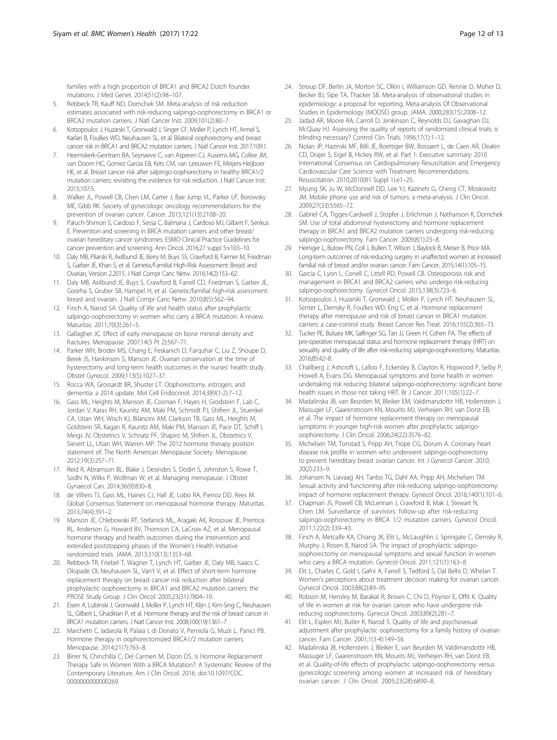<span id="page-11-0"></span>families with a high proportion of BRCA1 and BRCA2 Dutch founder mutations. J Med Genet. 2014;51(2):98–107.

- 5. Rebbeck TR, Kauff ND, Domchek SM. Meta-analysis of risk reduction estimates associated with risk-reducing salpingo-oophorectomy in BRCA1 or BRCA2 mutation carriers. J Natl Cancer Inst. 2009;101(2):80–7.
- 6. Kotsopoulos J, Huzarski T, Gronwald J, Singer CF, Moller P, Lynch HT, Armel S, Karlan B, Foulkes WD, Neuhausen SL, et al. Bilateral oophorectomy and breast cancer risk in BRCA1 and BRCA2 mutation carriers. J Natl Cancer Inst. 2017;109:1.
- 7. Heemskerk-Gerritsen BA, Seynaeve C, van Asperen CJ, Ausems MG, Collee JM, van Doorn HC, Gomez Garcia EB, Kets CM, van Leeuwen FE, Meijers-Heijboer HE, et al. Breast cancer risk after salpingo-oophorectomy in healthy BRCA1/2 mutation carriers: revisiting the evidence for risk reduction. J Natl Cancer Inst. 2015;107:5.
- 8. Walker JL, Powell CB, Chen LM, Carter J, Bae Jump VL, Parker LP, Borowsky ME, Gibb RK. Society of gynecologic oncology recommendations for the prevention of ovarian cancer. Cancer. 2015;121(13):2108–20.
- 9. Paluch-Shimon S, Cardoso F, Sessa C, Balmana J, Cardoso MJ, Gilbert F, Senkus E. Prevention and screening in BRCA mutation carriers and other breast/ ovarian hereditary cancer syndromes: ESMO Clinical Practice Guidelines for cancer prevention and screening. Ann Oncol. 2016;27 suppl 5:v103–10.
- 10. Daly MB, Pilarski R, Axilbund JE, Berry M, Buys SS, Crawford B, Farmer M, Friedman S, Garber JE, Khan S, et al. Genetic/Familial High-Risk Assessment: Breast and Ovarian, Version 2.2015. J Natl Compr Canc Netw. 2016;14(2):153–62.
- 11. Daly MB, Axilbund JE, Buys S, Crawford B, Farrell CD, Friedman S, Garber JE, Goorha S, Gruber SB, Hampel H, et al. Genetic/familial high-risk assessment: breast and ovarian. J Natl Compr Canc Netw. 2010;8(5):562–94.
- 12. Finch A, Narod SA. Quality of life and health status after prophylactic salpingo-oophorectomy in women who carry a BRCA mutation: A review. Maturitas. 2011;70(3):261–5.
- 13. Gallagher JC. Effect of early menopause on bone mineral density and fractures. Menopause. 2007;14(3 Pt 2):567–71.
- 14. Parker WH, Broder MS, Chang E, Feskanich D, Farquhar C, Liu Z, Shoupe D, Berek JS, Hankinson S, Manson JE. Ovarian conservation at the time of hysterectomy and long-term health outcomes in the nurses' health study. Obstet Gynecol. 2009;113(5):1027–37.
- 15. Rocca WA, Grossardt BR, Shuster LT. Oophorectomy, estrogen, and dementia: a 2014 update. Mol Cell Endocrinol. 2014;389(1-2):7–12.
- 16. Gass ML, Heights M, Manson JE, Cosman F, Hayes H, Grodstein F, Lab C, Jordan V, Karas RH, Kaunitz AM, Maki PM, Schmidt PJ, Shifren JL, Stuenkel CA, Utian WH, Wisch KJ, Bilancini AM, Clarkson TB, Gass ML, Heights M, Goldstein SR, Kagan R, Kaunitz AM, Maki PM, Manson JE, Pace DT, Schiff I, Meigs JV, Obstetrics V, Schnatz PF, Shapiro M, Shifren JL, Obstetrics V, Sievert LL, Utian WH, Warren MP. The 2012 hormone therapy position statement of: The North American Menopause Society. Menopause. 2012;19(3):257–71.
- 17. Reid R, Abramson BL, Blake J, Desindes S, Dodin S, Johnston S, Rowe T, Sodhi N, Wilks P, Wolfman W, et al. Managing menopause. J Obstet Gynaecol Can. 2014;36(9):830–8.
- 18. de Villiers TJ, Gass ML, Haines CJ, Hall JE, Lobo RA, Pierroz DD, Rees M. Global Consensus Statement on menopausal hormone therapy. Maturitas. 2013;74(4):391–2.
- 19. Manson JE, Chlebowski RT, Stefanick ML, Aragaki AK, Rossouw JE, Prentice RL, Anderson G, Howard BV, Thomson CA, LaCroix AZ, et al. Menopausal hormone therapy and health outcomes during the intervention and extended poststopping phases of the Women's Health Initiative randomized trials. JAMA. 2013;310(13):1353–68.
- 20. Rebbeck TR, Friebel T, Wagner T, Lynch HT, Garber JE, Daly MB, Isaacs C, Olopade OI, Neuhausen SL, Van't V, et al. Effect of short-term hormone replacement therapy on breast cancer risk reduction after bilateral prophylactic oophorectomy in BRCA1 and BRCA2 mutation carriers: the PROSE Study Group. J Clin Oncol. 2005;23(31):7804–10.
- 21. Eisen A, Lubinski J, Gronwald J, Moller P, Lynch HT, Klijn J, Kim-Sing C, Neuhausen SL, Gilbert L, Ghadirian P, et al. Hormone therapy and the risk of breast cancer in BRCA1 mutation carriers. J Natl Cancer Inst. 2008;100(19):1361–7.
- 22. Marchetti C, Iadarola R, Palaia I, di Donato V, Perniola G, Muzii L, Panici PB. Hormone therapy in oophorectomized BRCA1/2 mutation carriers. Menopause. 2014;21(7):763–8.
- 23. Birrer N, Chinchilla C, Del Carmen M, Dizon DS. Is Hormone Replacement Therapy Safe in Women With a BRCA Mutation?: A Systematic Review of the Contemporary Literature. Am J Clin Oncol. 2016. doi[:10.1097/COC.](http://dx.doi.org/10.1097/COC.0000000000000269) [0000000000000269](http://dx.doi.org/10.1097/COC.0000000000000269).
- 24. Stroup DF, Berlin JA, Morton SC, Olkin I, Williamson GD, Rennie D, Moher D, Becker BJ, Sipe TA, Thacker SB. Meta-analysis of observational studies in epidemiology: a proposal for reporting. Meta-analysis Of Observational Studies in Epidemiology (MOOSE) group. JAMA. 2000;283(15):2008–12.
- 25. Jadad AR, Moore RA, Carroll D, Jenkinson C, Reynolds DJ, Gavaghan DJ, McQuay HJ. Assessing the quality of reports of randomized clinical trials: is blinding necessary? Control Clin Trials. 1996;17(1):1–12.
- 26. Nolan JP, Hazinski MF, Billi JE, Boettiger BW, Bossaert L, de Caen AR, Deakin CD, Drajer S, Eigel B, Hickey RW, et al. Part 1: Executive summary: 2010 International Consensus on Cardiopulmonary Resuscitation and Emergency Cardiovascular Care Science with Treatment Recommendations. Resuscitation. 2010;2010(81 Suppl 1):e1–25.
- 27. Myung SK, Ju W, McDonnell DD, Lee YJ, Kazinets G, Cheng CT, Moskowitz JM. Mobile phone use and risk of tumors: a meta-analysis. J Clin Oncol. 2009;27(33):5565–72.
- 28. Gabriel CA, Tigges-Cardwell J, Stopfer J, Erlichman J, Nathanson K, Domchek SM. Use of total abdominal hysterectomy and hormone replacement therapy in BRCA1 and BRCA2 mutation carriers undergoing risk-reducing salpingo-oophorectomy. Fam Cancer. 2009;8(1):23–8.
- 29. Heiniger L, Butow PN, Coll J, Bullen T, Wilson J, Baylock B, Meiser B, Price MA. Long-term outcomes of risk-reducing surgery in unaffected women at increased familial risk of breast and/or ovarian cancer. Fam Cancer. 2015;14(1):105–15.
- 30. Garcia C, Lyon L, Conell C, Littell RD, Powell CB. Osteoporosis risk and management in BRCA1 and BRCA2 carriers who undergo risk-reducing salpingo-oophorectomy. Gynecol Oncol. 2015;138(3):723–6.
- 31. Kotsopoulos J, Huzarski T, Gronwald J, Moller P, Lynch HT, Neuhausen SL, Senter L, Demsky R, Foulkes WD, Eng C, et al. Hormone replacement therapy after menopause and risk of breast cancer in BRCA1 mutation carriers: a case-control study. Breast Cancer Res Treat. 2016;155(2):365–73.
- 32. Tucker PE, Bulsara MK, Salfinger SG, Tan JJ, Green H, Cohen PA. The effects of pre-operative menopausal status and hormone replacement therapy (HRT) on sexuality and quality of life after risk-reducing salpingo-oophorectomy. Maturitas. 2016;85:42–8.
- 33. Challberg J, Ashcroft L, Lalloo F, Eckersley B, Clayton R, Hopwood P, Selby P, Howell A, Evans DG. Menopausal symptoms and bone health in women undertaking risk reducing bilateral salpingo-oophorectomy: significant bone health issues in those not taking HRT. Br J Cancer. 2011;105(1):22–7.
- 34. Madalinska JB, van Beurden M, Bleiker EM, Valdimarsdottir HB, Hollenstein J, Massuger LF, Gaarenstroom KN, Mourits MJ, Verheijen RH, van Dorst EB, et al. The impact of hormone replacement therapy on menopausal symptoms in younger high-risk women after prophylactic salpingooophorectomy. J Clin Oncol. 2006;24(22):3576–82.
- 35. Michelsen TM, Tonstad S, Pripp AH, Trope CG, Dorum A. Coronary heart disease risk profile in women who underwent salpingo-oophorectomy to prevent hereditary breast ovarian cancer. Int J Gynecol Cancer. 2010; 20(2):233–9.
- 36. Johansen N, Liavaag AH, Tanbo TG, Dahl AA, Pripp AH, Michelsen TM. Sexual activity and functioning after risk-reducing salpingo-oophorectomy: Impact of hormone replacement therapy. Gynecol Oncol. 2016;140(1):101–6.
- 37. Chapman JS, Powell CB, McLennan J, Crawford B, Mak J, Stewart N, Chen LM. Surveillance of survivors: follow-up after risk-reducing salpingo-oophorectomy in BRCA 1/2 mutation carriers. Gynecol Oncol. 2011;122(2):339–43.
- 38. Finch A, Metcalfe KA, Chiang JK, Elit L, McLaughlin J, Springate C, Demsky R, Murphy J, Rosen B, Narod SA. The impact of prophylactic salpingooophorectomy on menopausal symptoms and sexual function in women who carry a BRCA mutation. Gynecol Oncol. 2011;121(1):163–8.
- 39. Elit L, Charles C, Gold I, Gafni A, Farrell S, Tedford S, Dal Bello D, Whelan T. Women's perceptions about treatment decision making for ovarian cancer. Gynecol Oncol. 2003;88(2):89–95.
- 40. Robson M, Hensley M, Barakat R, Brown C, Chi D, Poynor E, Offit K. Quality of life in women at risk for ovarian cancer who have undergone riskreducing oophorectomy. Gynecol Oncol. 2003;89(2):281–7.
- 41. Elit L, Esplen MJ, Butler K, Narod S. Quality of life and psychosexual adjustment after prophylactic oophorectomy for a family history of ovarian cancer. Fam Cancer. 2001;1(3-4):149–56.
- 42. Madalinska JB, Hollenstein J, Bleiker E, van Beurden M, Valdimarsdottir HB, Massuger LF, Gaarenstroom KN, Mourits MJ, Verheijen RH, van Dorst EB, et al. Quality-of-life effects of prophylactic salpingo-oophorectomy versus gynecologic screening among women at increased risk of hereditary ovarian cancer. J Clin Oncol. 2005;23(28):6890–8.